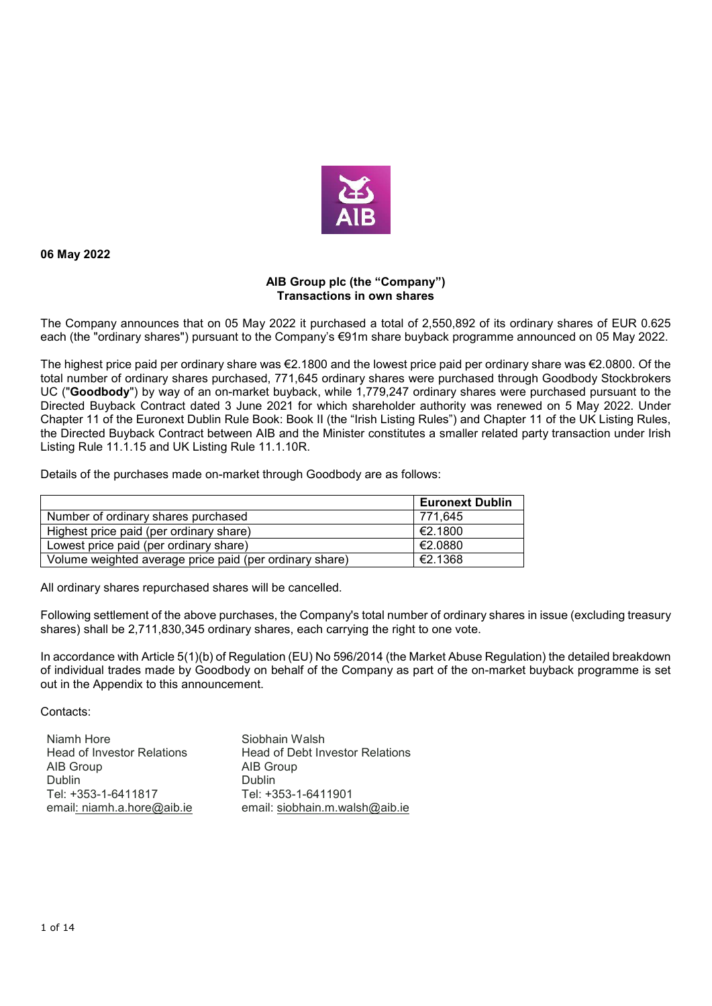

**06 May 2022** 

## **AIB Group plc (the "Company") Transactions in own shares**

The Company announces that on 05 May 2022 it purchased a total of 2,550,892 of its ordinary shares of EUR 0.625 each (the "ordinary shares") pursuant to the Company's €91m share buyback programme announced on 05 May 2022.

The highest price paid per ordinary share was €2.1800 and the lowest price paid per ordinary share was €2.0800. Of the total number of ordinary shares purchased, 771,645 ordinary shares were purchased through Goodbody Stockbrokers UC ("**Goodbody**") by way of an on-market buyback, while 1,779,247 ordinary shares were purchased pursuant to the Directed Buyback Contract dated 3 June 2021 for which shareholder authority was renewed on 5 May 2022. Under Chapter 11 of the Euronext Dublin Rule Book: Book II (the "Irish Listing Rules") and Chapter 11 of the UK Listing Rules, the Directed Buyback Contract between AIB and the Minister constitutes a smaller related party transaction under Irish Listing Rule 11.1.15 and UK Listing Rule 11.1.10R.

Details of the purchases made on-market through Goodbody are as follows:

|                                                         | <b>Euronext Dublin</b> |
|---------------------------------------------------------|------------------------|
| Number of ordinary shares purchased                     | 771.645                |
| Highest price paid (per ordinary share)                 | €2.1800                |
| Lowest price paid (per ordinary share)                  | €2.0880                |
| Volume weighted average price paid (per ordinary share) | €2.1368                |

All ordinary shares repurchased shares will be cancelled.

Following settlement of the above purchases, the Company's total number of ordinary shares in issue (excluding treasury shares) shall be 2,711,830,345 ordinary shares, each carrying the right to one vote.

In accordance with Article 5(1)(b) of Regulation (EU) No 596/2014 (the Market Abuse Regulation) the detailed breakdown of individual trades made by Goodbody on behalf of the Company as part of the on-market buyback programme is set out in the Appendix to this announcement.

Contacts:

| Niamh Hore                        | Siobhain Walsh                         |
|-----------------------------------|----------------------------------------|
| <b>Head of Investor Relations</b> | <b>Head of Debt Investor Relations</b> |
| AIB Group                         | AIB Group                              |
| <b>Dublin</b>                     | <b>Dublin</b>                          |
| Tel: +353-1-6411817               | Tel: +353-1-6411901                    |
| email: niamh.a.hore@aib.ie        | email: siobhain.m.walsh@aib.ie         |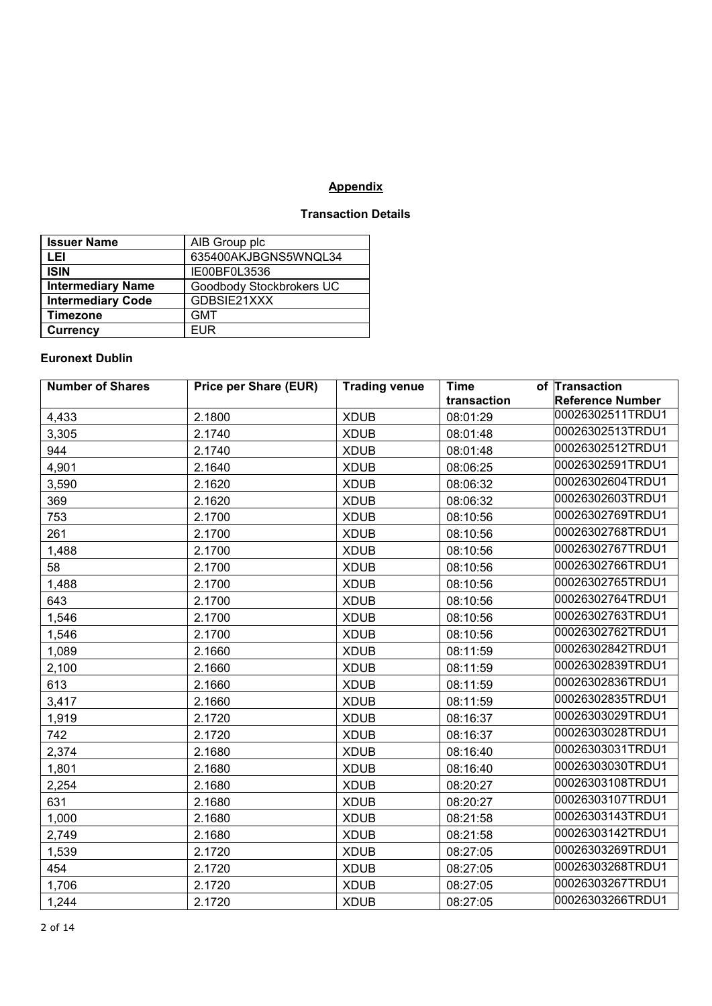## **Appendix**

## **Transaction Details**

| <b>Issuer Name</b>       | AIB Group plc            |
|--------------------------|--------------------------|
| LEI                      | 635400AKJBGNS5WNQL34     |
| <b>ISIN</b>              | IE00BF0L3536             |
| <b>Intermediary Name</b> | Goodbody Stockbrokers UC |
| <b>Intermediary Code</b> | GDBSIE21XXX              |
| <b>Timezone</b>          | <b>GMT</b>               |
| <b>Currency</b>          | <b>EUR</b>               |

## **Euronext Dublin**

| <b>Number of Shares</b> | <b>Price per Share (EUR)</b> | <b>Trading venue</b> | <b>Time</b> | of Transaction          |
|-------------------------|------------------------------|----------------------|-------------|-------------------------|
|                         |                              |                      | transaction | <b>Reference Number</b> |
| 4,433                   | 2.1800                       | <b>XDUB</b>          | 08:01:29    | 00026302511TRDU1        |
| 3,305                   | 2.1740                       | <b>XDUB</b>          | 08:01:48    | 00026302513TRDU1        |
| 944                     | 2.1740                       | <b>XDUB</b>          | 08:01:48    | 00026302512TRDU1        |
| 4,901                   | 2.1640                       | <b>XDUB</b>          | 08:06:25    | 00026302591TRDU1        |
| 3,590                   | 2.1620                       | <b>XDUB</b>          | 08:06:32    | 00026302604TRDU1        |
| 369                     | 2.1620                       | <b>XDUB</b>          | 08:06:32    | 00026302603TRDU1        |
| 753                     | 2.1700                       | <b>XDUB</b>          | 08:10:56    | 00026302769TRDU1        |
| 261                     | 2.1700                       | <b>XDUB</b>          | 08:10:56    | 00026302768TRDU1        |
| 1,488                   | 2.1700                       | <b>XDUB</b>          | 08:10:56    | 00026302767TRDU1        |
| 58                      | 2.1700                       | <b>XDUB</b>          | 08:10:56    | 00026302766TRDU1        |
| 1,488                   | 2.1700                       | <b>XDUB</b>          | 08:10:56    | 00026302765TRDU1        |
| 643                     | 2.1700                       | <b>XDUB</b>          | 08:10:56    | 00026302764TRDU1        |
| 1,546                   | 2.1700                       | <b>XDUB</b>          | 08:10:56    | 00026302763TRDU1        |
| 1,546                   | 2.1700                       | <b>XDUB</b>          | 08:10:56    | 00026302762TRDU1        |
| 1,089                   | 2.1660                       | <b>XDUB</b>          | 08:11:59    | 00026302842TRDU1        |
| 2,100                   | 2.1660                       | <b>XDUB</b>          | 08:11:59    | 00026302839TRDU1        |
| 613                     | 2.1660                       | <b>XDUB</b>          | 08:11:59    | 00026302836TRDU1        |
| 3,417                   | 2.1660                       | <b>XDUB</b>          | 08:11:59    | 00026302835TRDU1        |
| 1,919                   | 2.1720                       | <b>XDUB</b>          | 08:16:37    | 00026303029TRDU1        |
| 742                     | 2.1720                       | <b>XDUB</b>          | 08:16:37    | 00026303028TRDU1        |
| 2,374                   | 2.1680                       | <b>XDUB</b>          | 08:16:40    | 00026303031TRDU1        |
| 1,801                   | 2.1680                       | <b>XDUB</b>          | 08:16:40    | 00026303030TRDU1        |
| 2,254                   | 2.1680                       | <b>XDUB</b>          | 08:20:27    | 00026303108TRDU1        |
| 631                     | 2.1680                       | <b>XDUB</b>          | 08:20:27    | 00026303107TRDU1        |
| 1,000                   | 2.1680                       | <b>XDUB</b>          | 08:21:58    | 00026303143TRDU1        |
| 2,749                   | 2.1680                       | <b>XDUB</b>          | 08:21:58    | 00026303142TRDU1        |
| 1,539                   | 2.1720                       | <b>XDUB</b>          | 08:27:05    | 00026303269TRDU1        |
| 454                     | 2.1720                       | <b>XDUB</b>          | 08:27:05    | 00026303268TRDU1        |
| 1,706                   | 2.1720                       | <b>XDUB</b>          | 08:27:05    | 00026303267TRDU1        |
| 1,244                   | 2.1720                       | <b>XDUB</b>          | 08:27:05    | 00026303266TRDU1        |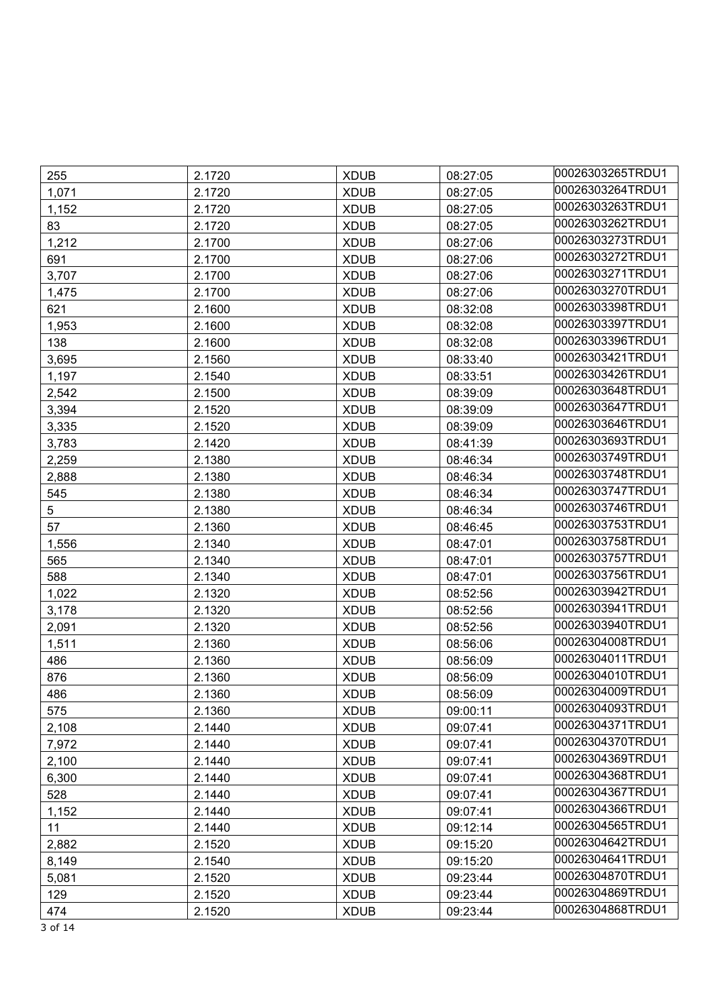| 255   | 2.1720 | <b>XDUB</b> | 08:27:05 | 00026303265TRDU1 |
|-------|--------|-------------|----------|------------------|
| 1,071 | 2.1720 | <b>XDUB</b> | 08:27:05 | 00026303264TRDU1 |
| 1,152 | 2.1720 | <b>XDUB</b> | 08:27:05 | 00026303263TRDU1 |
| 83    | 2.1720 | <b>XDUB</b> | 08:27:05 | 00026303262TRDU1 |
| 1,212 | 2.1700 | <b>XDUB</b> | 08:27:06 | 00026303273TRDU1 |
| 691   | 2.1700 | <b>XDUB</b> | 08:27:06 | 00026303272TRDU1 |
| 3,707 | 2.1700 | <b>XDUB</b> | 08:27:06 | 00026303271TRDU1 |
| 1,475 | 2.1700 | <b>XDUB</b> | 08:27:06 | 00026303270TRDU1 |
| 621   | 2.1600 | <b>XDUB</b> | 08:32:08 | 00026303398TRDU1 |
| 1,953 | 2.1600 | <b>XDUB</b> | 08:32:08 | 00026303397TRDU1 |
| 138   | 2.1600 | <b>XDUB</b> | 08:32:08 | 00026303396TRDU1 |
| 3,695 | 2.1560 | <b>XDUB</b> | 08:33:40 | 00026303421TRDU1 |
| 1,197 | 2.1540 | <b>XDUB</b> | 08:33:51 | 00026303426TRDU1 |
| 2,542 | 2.1500 | <b>XDUB</b> | 08:39:09 | 00026303648TRDU1 |
| 3,394 | 2.1520 | <b>XDUB</b> | 08:39:09 | 00026303647TRDU1 |
| 3,335 | 2.1520 | <b>XDUB</b> | 08:39:09 | 00026303646TRDU1 |
| 3,783 | 2.1420 | <b>XDUB</b> | 08:41:39 | 00026303693TRDU1 |
| 2,259 | 2.1380 | <b>XDUB</b> | 08:46:34 | 00026303749TRDU1 |
| 2,888 | 2.1380 | <b>XDUB</b> | 08:46:34 | 00026303748TRDU1 |
| 545   | 2.1380 | <b>XDUB</b> | 08:46:34 | 00026303747TRDU1 |
| 5     | 2.1380 | <b>XDUB</b> | 08:46:34 | 00026303746TRDU1 |
| 57    | 2.1360 | <b>XDUB</b> | 08:46:45 | 00026303753TRDU1 |
| 1,556 | 2.1340 | <b>XDUB</b> | 08:47:01 | 00026303758TRDU1 |
| 565   | 2.1340 | <b>XDUB</b> | 08:47:01 | 00026303757TRDU1 |
| 588   | 2.1340 | <b>XDUB</b> | 08:47:01 | 00026303756TRDU1 |
| 1,022 | 2.1320 | <b>XDUB</b> | 08:52:56 | 00026303942TRDU1 |
| 3,178 | 2.1320 | <b>XDUB</b> | 08:52:56 | 00026303941TRDU1 |
| 2,091 | 2.1320 | <b>XDUB</b> | 08:52:56 | 00026303940TRDU1 |
| 1,511 | 2.1360 | <b>XDUB</b> | 08:56:06 | 00026304008TRDU1 |
| 486   | 2.1360 | <b>XDUB</b> | 08:56:09 | 00026304011TRDU1 |
| 876   | 2.1360 | <b>XDUB</b> | 08:56:09 | 00026304010TRDU1 |
| 486   | 2.1360 | <b>XDUB</b> | 08:56:09 | 00026304009TRDU1 |
| 575   | 2.1360 | <b>XDUB</b> | 09:00:11 | 00026304093TRDU1 |
| 2,108 | 2.1440 | <b>XDUB</b> | 09:07:41 | 00026304371TRDU1 |
| 7,972 | 2.1440 | <b>XDUB</b> | 09:07:41 | 00026304370TRDU1 |
| 2,100 | 2.1440 | <b>XDUB</b> | 09:07:41 | 00026304369TRDU1 |
| 6,300 | 2.1440 | <b>XDUB</b> | 09:07:41 | 00026304368TRDU1 |
| 528   | 2.1440 | <b>XDUB</b> | 09:07:41 | 00026304367TRDU1 |
| 1,152 | 2.1440 | <b>XDUB</b> | 09:07:41 | 00026304366TRDU1 |
| 11    | 2.1440 | <b>XDUB</b> | 09:12:14 | 00026304565TRDU1 |
| 2,882 | 2.1520 | <b>XDUB</b> | 09:15:20 | 00026304642TRDU1 |
| 8,149 | 2.1540 | <b>XDUB</b> | 09:15:20 | 00026304641TRDU1 |
| 5,081 | 2.1520 | <b>XDUB</b> | 09:23:44 | 00026304870TRDU1 |
| 129   | 2.1520 | <b>XDUB</b> | 09:23:44 | 00026304869TRDU1 |
| 474   | 2.1520 | <b>XDUB</b> | 09:23:44 | 00026304868TRDU1 |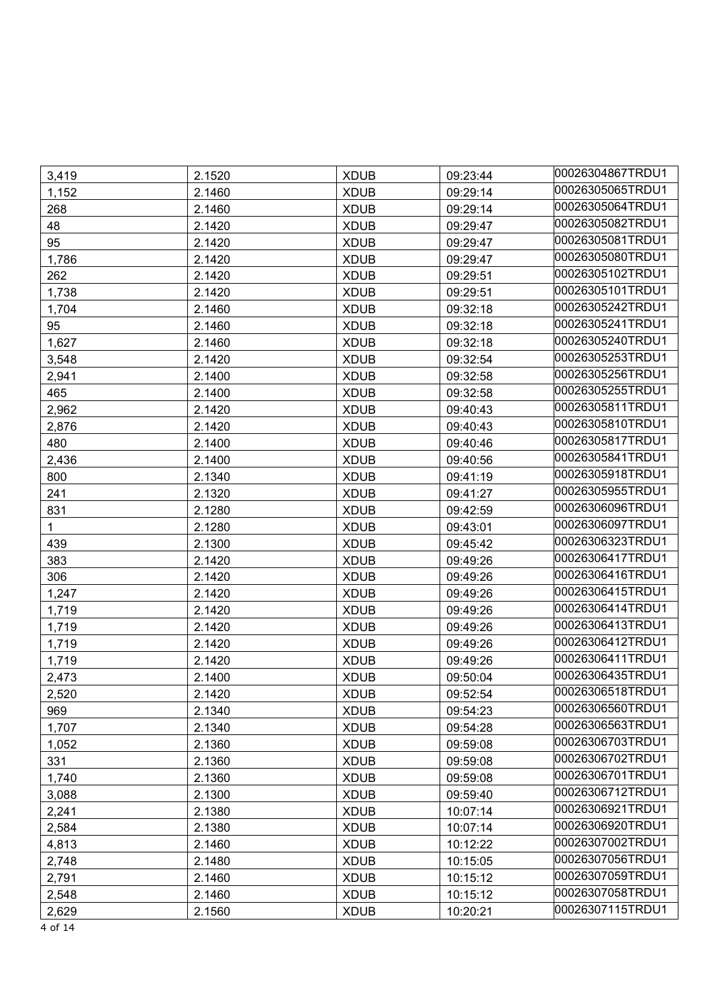| 3,419 | 2.1520 | <b>XDUB</b> | 09:23:44 | 00026304867TRDU1 |
|-------|--------|-------------|----------|------------------|
| 1,152 | 2.1460 | <b>XDUB</b> | 09:29:14 | 00026305065TRDU1 |
| 268   | 2.1460 | <b>XDUB</b> | 09:29:14 | 00026305064TRDU1 |
| 48    | 2.1420 | <b>XDUB</b> | 09:29:47 | 00026305082TRDU1 |
| 95    | 2.1420 | <b>XDUB</b> | 09:29:47 | 00026305081TRDU1 |
| 1,786 | 2.1420 | <b>XDUB</b> | 09:29:47 | 00026305080TRDU1 |
| 262   | 2.1420 | <b>XDUB</b> | 09:29:51 | 00026305102TRDU1 |
| 1,738 | 2.1420 | <b>XDUB</b> | 09:29:51 | 00026305101TRDU1 |
| 1,704 | 2.1460 | <b>XDUB</b> | 09:32:18 | 00026305242TRDU1 |
| 95    | 2.1460 | <b>XDUB</b> | 09:32:18 | 00026305241TRDU1 |
| 1,627 | 2.1460 | <b>XDUB</b> | 09:32:18 | 00026305240TRDU1 |
| 3,548 | 2.1420 | <b>XDUB</b> | 09:32:54 | 00026305253TRDU1 |
| 2,941 | 2.1400 | <b>XDUB</b> | 09:32:58 | 00026305256TRDU1 |
| 465   | 2.1400 | <b>XDUB</b> | 09:32:58 | 00026305255TRDU1 |
| 2,962 | 2.1420 | <b>XDUB</b> | 09:40:43 | 00026305811TRDU1 |
| 2,876 | 2.1420 | <b>XDUB</b> | 09:40:43 | 00026305810TRDU1 |
| 480   | 2.1400 | <b>XDUB</b> | 09:40:46 | 00026305817TRDU1 |
| 2,436 | 2.1400 | <b>XDUB</b> | 09:40:56 | 00026305841TRDU1 |
| 800   | 2.1340 | <b>XDUB</b> | 09:41:19 | 00026305918TRDU1 |
| 241   | 2.1320 | <b>XDUB</b> | 09:41:27 | 00026305955TRDU1 |
| 831   | 2.1280 | <b>XDUB</b> | 09:42:59 | 00026306096TRDU1 |
| 1     | 2.1280 | <b>XDUB</b> | 09:43:01 | 00026306097TRDU1 |
| 439   | 2.1300 | <b>XDUB</b> | 09:45:42 | 00026306323TRDU1 |
| 383   | 2.1420 | <b>XDUB</b> | 09:49:26 | 00026306417TRDU1 |
| 306   | 2.1420 | <b>XDUB</b> | 09:49:26 | 00026306416TRDU1 |
| 1,247 | 2.1420 | <b>XDUB</b> | 09:49:26 | 00026306415TRDU1 |
| 1,719 | 2.1420 | <b>XDUB</b> | 09:49:26 | 00026306414TRDU1 |
| 1,719 | 2.1420 | <b>XDUB</b> | 09:49:26 | 00026306413TRDU1 |
| 1,719 | 2.1420 | <b>XDUB</b> | 09:49:26 | 00026306412TRDU1 |
| 1,719 | 2.1420 | <b>XDUB</b> | 09:49:26 | 00026306411TRDU1 |
| 2,473 | 2.1400 | <b>XDUB</b> | 09:50:04 | 00026306435TRDU1 |
| 2,520 | 2.1420 | <b>XDUB</b> | 09:52:54 | 00026306518TRDU1 |
| 969   | 2.1340 | <b>XDUB</b> | 09:54:23 | 00026306560TRDU1 |
| 1,707 | 2.1340 | <b>XDUB</b> | 09:54:28 | 00026306563TRDU1 |
| 1,052 | 2.1360 | <b>XDUB</b> | 09:59:08 | 00026306703TRDU1 |
| 331   | 2.1360 | <b>XDUB</b> | 09:59:08 | 00026306702TRDU1 |
| 1,740 | 2.1360 | <b>XDUB</b> | 09:59:08 | 00026306701TRDU1 |
| 3,088 | 2.1300 | <b>XDUB</b> | 09:59:40 | 00026306712TRDU1 |
| 2,241 | 2.1380 | <b>XDUB</b> | 10:07:14 | 00026306921TRDU1 |
| 2,584 | 2.1380 | <b>XDUB</b> | 10:07:14 | 00026306920TRDU1 |
| 4,813 | 2.1460 | <b>XDUB</b> | 10:12:22 | 00026307002TRDU1 |
| 2,748 | 2.1480 | <b>XDUB</b> | 10:15:05 | 00026307056TRDU1 |
| 2,791 | 2.1460 | <b>XDUB</b> | 10:15:12 | 00026307059TRDU1 |
| 2,548 | 2.1460 | <b>XDUB</b> | 10:15:12 | 00026307058TRDU1 |
| 2,629 | 2.1560 | <b>XDUB</b> | 10:20:21 | 00026307115TRDU1 |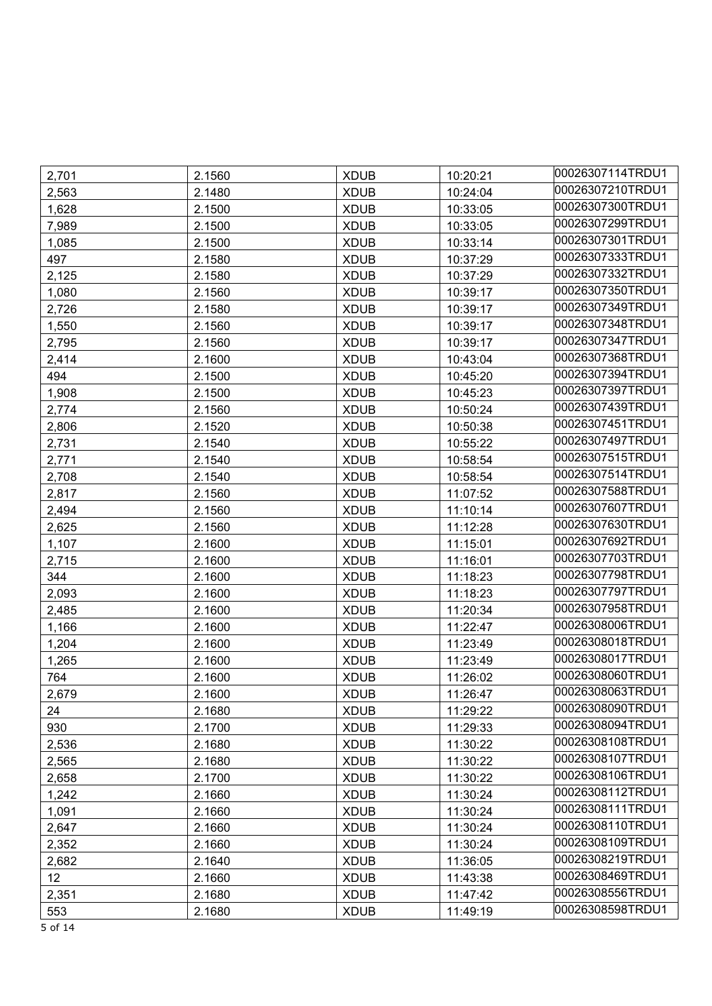| 2,701           | 2.1560 | <b>XDUB</b> | 10:20:21 | 00026307114TRDU1 |
|-----------------|--------|-------------|----------|------------------|
| 2,563           | 2.1480 | <b>XDUB</b> | 10:24:04 | 00026307210TRDU1 |
| 1,628           | 2.1500 | <b>XDUB</b> | 10:33:05 | 00026307300TRDU1 |
| 7,989           | 2.1500 | <b>XDUB</b> | 10:33:05 | 00026307299TRDU1 |
| 1,085           | 2.1500 | <b>XDUB</b> | 10:33:14 | 00026307301TRDU1 |
| 497             | 2.1580 | <b>XDUB</b> | 10:37:29 | 00026307333TRDU1 |
| 2,125           | 2.1580 | <b>XDUB</b> | 10:37:29 | 00026307332TRDU1 |
| 1,080           | 2.1560 | <b>XDUB</b> | 10:39:17 | 00026307350TRDU1 |
| 2,726           | 2.1580 | <b>XDUB</b> | 10:39:17 | 00026307349TRDU1 |
| 1,550           | 2.1560 | <b>XDUB</b> | 10:39:17 | 00026307348TRDU1 |
| 2,795           | 2.1560 | <b>XDUB</b> | 10:39:17 | 00026307347TRDU1 |
| 2,414           | 2.1600 | <b>XDUB</b> | 10:43:04 | 00026307368TRDU1 |
| 494             | 2.1500 | <b>XDUB</b> | 10:45:20 | 00026307394TRDU1 |
| 1,908           | 2.1500 | <b>XDUB</b> | 10:45:23 | 00026307397TRDU1 |
| 2,774           | 2.1560 | <b>XDUB</b> | 10:50:24 | 00026307439TRDU1 |
| 2,806           | 2.1520 | <b>XDUB</b> | 10:50:38 | 00026307451TRDU1 |
| 2,731           | 2.1540 | <b>XDUB</b> | 10:55:22 | 00026307497TRDU1 |
| 2,771           | 2.1540 | <b>XDUB</b> | 10:58:54 | 00026307515TRDU1 |
| 2,708           | 2.1540 | <b>XDUB</b> | 10:58:54 | 00026307514TRDU1 |
| 2,817           | 2.1560 | <b>XDUB</b> | 11:07:52 | 00026307588TRDU1 |
| 2,494           | 2.1560 | <b>XDUB</b> | 11:10:14 | 00026307607TRDU1 |
| 2,625           | 2.1560 | <b>XDUB</b> | 11:12:28 | 00026307630TRDU1 |
| 1,107           | 2.1600 | <b>XDUB</b> | 11:15:01 | 00026307692TRDU1 |
| 2,715           | 2.1600 | <b>XDUB</b> | 11:16:01 | 00026307703TRDU1 |
| 344             | 2.1600 | <b>XDUB</b> | 11:18:23 | 00026307798TRDU1 |
| 2,093           | 2.1600 | <b>XDUB</b> | 11:18:23 | 00026307797TRDU1 |
| 2,485           | 2.1600 | <b>XDUB</b> | 11:20:34 | 00026307958TRDU1 |
| 1,166           | 2.1600 | <b>XDUB</b> | 11:22:47 | 00026308006TRDU1 |
| 1,204           | 2.1600 | <b>XDUB</b> | 11:23:49 | 00026308018TRDU1 |
| 1,265           | 2.1600 | <b>XDUB</b> | 11:23:49 | 00026308017TRDU1 |
| 764             | 2.1600 | <b>XDUB</b> | 11:26:02 | 00026308060TRDU1 |
| 2,679           | 2.1600 | <b>XDUB</b> | 11:26:47 | 00026308063TRDU1 |
| 24              | 2.1680 | <b>XDUB</b> | 11:29:22 | 00026308090TRDU1 |
| 930             | 2.1700 | <b>XDUB</b> | 11:29:33 | 00026308094TRDU1 |
| 2,536           | 2.1680 | <b>XDUB</b> | 11:30:22 | 00026308108TRDU1 |
| 2,565           | 2.1680 | <b>XDUB</b> | 11:30:22 | 00026308107TRDU1 |
| 2,658           | 2.1700 | <b>XDUB</b> | 11:30:22 | 00026308106TRDU1 |
| 1,242           | 2.1660 | <b>XDUB</b> | 11:30:24 | 00026308112TRDU1 |
| 1,091           | 2.1660 | <b>XDUB</b> | 11:30:24 | 00026308111TRDU1 |
| 2,647           | 2.1660 | <b>XDUB</b> | 11:30:24 | 00026308110TRDU1 |
| 2,352           | 2.1660 | <b>XDUB</b> | 11:30:24 | 00026308109TRDU1 |
| 2,682           | 2.1640 | <b>XDUB</b> | 11:36:05 | 00026308219TRDU1 |
| 12 <sup>°</sup> | 2.1660 | <b>XDUB</b> | 11:43:38 | 00026308469TRDU1 |
| 2,351           | 2.1680 | <b>XDUB</b> | 11:47:42 | 00026308556TRDU1 |
| 553             | 2.1680 | <b>XDUB</b> | 11:49:19 | 00026308598TRDU1 |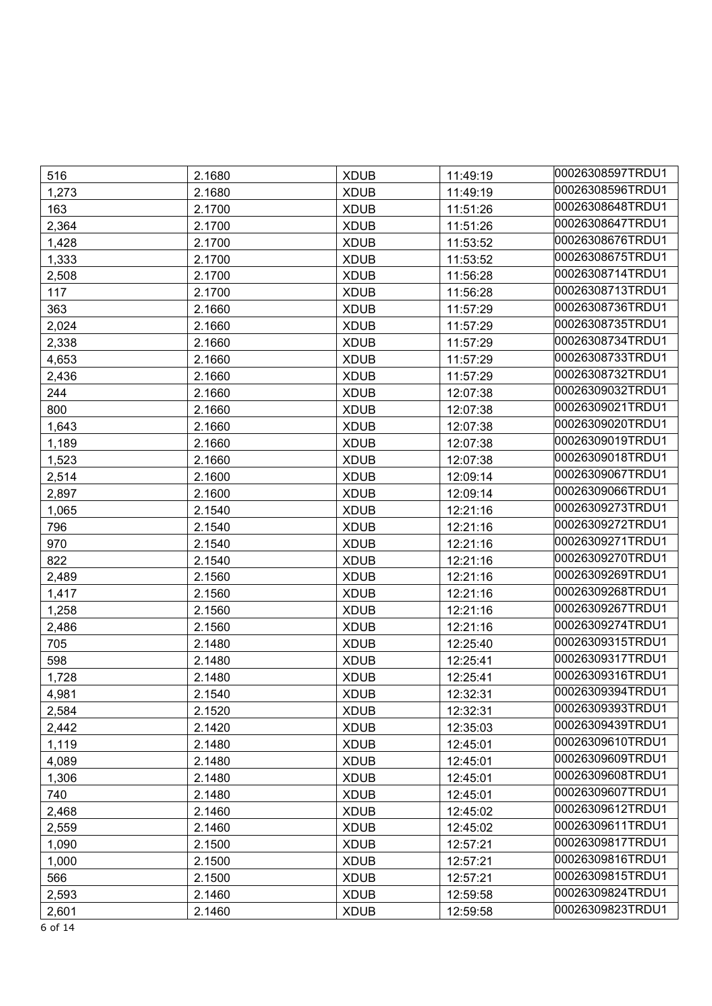| 516   | 2.1680 | <b>XDUB</b> | 11:49:19 | 00026308597TRDU1 |
|-------|--------|-------------|----------|------------------|
| 1,273 | 2.1680 | <b>XDUB</b> | 11:49:19 | 00026308596TRDU1 |
| 163   | 2.1700 | <b>XDUB</b> | 11:51:26 | 00026308648TRDU1 |
| 2,364 | 2.1700 | <b>XDUB</b> | 11:51:26 | 00026308647TRDU1 |
| 1,428 | 2.1700 | <b>XDUB</b> | 11:53:52 | 00026308676TRDU1 |
| 1,333 | 2.1700 | <b>XDUB</b> | 11:53:52 | 00026308675TRDU1 |
| 2,508 | 2.1700 | <b>XDUB</b> | 11:56:28 | 00026308714TRDU1 |
| 117   | 2.1700 | <b>XDUB</b> | 11:56:28 | 00026308713TRDU1 |
| 363   | 2.1660 | <b>XDUB</b> | 11:57:29 | 00026308736TRDU1 |
| 2,024 | 2.1660 | <b>XDUB</b> | 11:57:29 | 00026308735TRDU1 |
| 2,338 | 2.1660 | <b>XDUB</b> | 11:57:29 | 00026308734TRDU1 |
| 4,653 | 2.1660 | <b>XDUB</b> | 11:57:29 | 00026308733TRDU1 |
| 2,436 | 2.1660 | <b>XDUB</b> | 11:57:29 | 00026308732TRDU1 |
| 244   | 2.1660 | <b>XDUB</b> | 12:07:38 | 00026309032TRDU1 |
| 800   | 2.1660 | <b>XDUB</b> | 12:07:38 | 00026309021TRDU1 |
| 1,643 | 2.1660 | <b>XDUB</b> | 12:07:38 | 00026309020TRDU1 |
| 1,189 | 2.1660 | <b>XDUB</b> | 12:07:38 | 00026309019TRDU1 |
| 1,523 | 2.1660 | <b>XDUB</b> | 12:07:38 | 00026309018TRDU1 |
| 2,514 | 2.1600 | <b>XDUB</b> | 12:09:14 | 00026309067TRDU1 |
| 2,897 | 2.1600 | <b>XDUB</b> | 12:09:14 | 00026309066TRDU1 |
| 1,065 | 2.1540 | <b>XDUB</b> | 12:21:16 | 00026309273TRDU1 |
| 796   | 2.1540 | <b>XDUB</b> | 12:21:16 | 00026309272TRDU1 |
| 970   | 2.1540 | <b>XDUB</b> | 12:21:16 | 00026309271TRDU1 |
| 822   | 2.1540 | <b>XDUB</b> | 12:21:16 | 00026309270TRDU1 |
| 2,489 | 2.1560 | <b>XDUB</b> | 12:21:16 | 00026309269TRDU1 |
| 1,417 | 2.1560 | <b>XDUB</b> | 12:21:16 | 00026309268TRDU1 |
| 1,258 | 2.1560 | <b>XDUB</b> | 12:21:16 | 00026309267TRDU1 |
| 2,486 | 2.1560 | <b>XDUB</b> | 12:21:16 | 00026309274TRDU1 |
| 705   | 2.1480 | <b>XDUB</b> | 12:25:40 | 00026309315TRDU1 |
| 598   | 2.1480 | <b>XDUB</b> | 12:25:41 | 00026309317TRDU1 |
| 1,728 | 2.1480 | <b>XDUB</b> | 12:25:41 | 00026309316TRDU1 |
| 4,981 | 2.1540 | <b>XDUB</b> | 12:32:31 | 00026309394TRDU1 |
| 2,584 | 2.1520 | <b>XDUB</b> | 12:32:31 | 00026309393TRDU1 |
| 2,442 | 2.1420 | <b>XDUB</b> | 12:35:03 | 00026309439TRDU1 |
| 1,119 | 2.1480 | <b>XDUB</b> | 12:45:01 | 00026309610TRDU1 |
| 4,089 | 2.1480 | <b>XDUB</b> | 12:45:01 | 00026309609TRDU1 |
| 1,306 | 2.1480 | <b>XDUB</b> | 12:45:01 | 00026309608TRDU1 |
| 740   | 2.1480 | <b>XDUB</b> | 12:45:01 | 00026309607TRDU1 |
| 2,468 | 2.1460 | <b>XDUB</b> | 12:45:02 | 00026309612TRDU1 |
| 2,559 | 2.1460 | <b>XDUB</b> | 12:45:02 | 00026309611TRDU1 |
| 1,090 | 2.1500 | <b>XDUB</b> | 12:57:21 | 00026309817TRDU1 |
| 1,000 | 2.1500 | <b>XDUB</b> | 12:57:21 | 00026309816TRDU1 |
| 566   | 2.1500 | <b>XDUB</b> | 12:57:21 | 00026309815TRDU1 |
| 2,593 | 2.1460 | <b>XDUB</b> | 12:59:58 | 00026309824TRDU1 |
| 2,601 | 2.1460 | <b>XDUB</b> | 12:59:58 | 00026309823TRDU1 |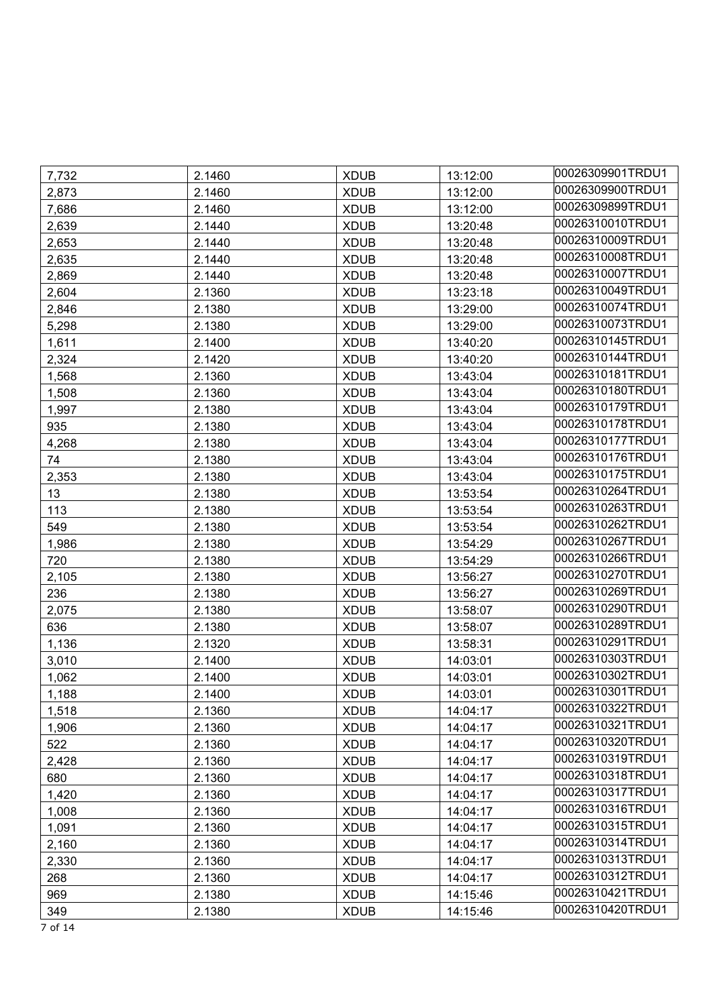| 7,732 | 2.1460 | <b>XDUB</b> | 13:12:00 | 00026309901TRDU1 |
|-------|--------|-------------|----------|------------------|
| 2,873 | 2.1460 | <b>XDUB</b> | 13:12:00 | 00026309900TRDU1 |
| 7,686 | 2.1460 | <b>XDUB</b> | 13:12:00 | 00026309899TRDU1 |
| 2,639 | 2.1440 | <b>XDUB</b> | 13:20:48 | 00026310010TRDU1 |
| 2,653 | 2.1440 | <b>XDUB</b> | 13:20:48 | 00026310009TRDU1 |
| 2,635 | 2.1440 | <b>XDUB</b> | 13:20:48 | 00026310008TRDU1 |
| 2,869 | 2.1440 | <b>XDUB</b> | 13:20:48 | 00026310007TRDU1 |
| 2,604 | 2.1360 | <b>XDUB</b> | 13:23:18 | 00026310049TRDU1 |
| 2,846 | 2.1380 | <b>XDUB</b> | 13:29:00 | 00026310074TRDU1 |
| 5,298 | 2.1380 | <b>XDUB</b> | 13:29:00 | 00026310073TRDU1 |
| 1,611 | 2.1400 | <b>XDUB</b> | 13:40:20 | 00026310145TRDU1 |
| 2,324 | 2.1420 | <b>XDUB</b> | 13:40:20 | 00026310144TRDU1 |
| 1,568 | 2.1360 | <b>XDUB</b> | 13:43:04 | 00026310181TRDU1 |
| 1,508 | 2.1360 | <b>XDUB</b> | 13:43:04 | 00026310180TRDU1 |
| 1,997 | 2.1380 | <b>XDUB</b> | 13:43:04 | 00026310179TRDU1 |
| 935   | 2.1380 | <b>XDUB</b> | 13:43:04 | 00026310178TRDU1 |
| 4,268 | 2.1380 | <b>XDUB</b> | 13:43:04 | 00026310177TRDU1 |
| 74    | 2.1380 | <b>XDUB</b> | 13:43:04 | 00026310176TRDU1 |
| 2,353 | 2.1380 | <b>XDUB</b> | 13:43:04 | 00026310175TRDU1 |
| 13    | 2.1380 | <b>XDUB</b> | 13:53:54 | 00026310264TRDU1 |
| 113   | 2.1380 | <b>XDUB</b> | 13:53:54 | 00026310263TRDU1 |
| 549   | 2.1380 | <b>XDUB</b> | 13:53:54 | 00026310262TRDU1 |
| 1,986 | 2.1380 | <b>XDUB</b> | 13:54:29 | 00026310267TRDU1 |
| 720   | 2.1380 | <b>XDUB</b> | 13:54:29 | 00026310266TRDU1 |
| 2,105 | 2.1380 | <b>XDUB</b> | 13:56:27 | 00026310270TRDU1 |
| 236   | 2.1380 | <b>XDUB</b> | 13:56:27 | 00026310269TRDU1 |
| 2,075 | 2.1380 | <b>XDUB</b> | 13:58:07 | 00026310290TRDU1 |
| 636   | 2.1380 | <b>XDUB</b> | 13:58:07 | 00026310289TRDU1 |
| 1,136 | 2.1320 | <b>XDUB</b> | 13:58:31 | 00026310291TRDU1 |
| 3,010 | 2.1400 | <b>XDUB</b> | 14:03:01 | 00026310303TRDU1 |
| 1,062 | 2.1400 | <b>XDUB</b> | 14:03:01 | 00026310302TRDU1 |
| 1,188 | 2.1400 | <b>XDUB</b> | 14:03:01 | 00026310301TRDU1 |
| 1,518 | 2.1360 | <b>XDUB</b> | 14:04:17 | 00026310322TRDU1 |
| 1,906 | 2.1360 | <b>XDUB</b> | 14:04:17 | 00026310321TRDU1 |
| 522   | 2.1360 | <b>XDUB</b> | 14:04:17 | 00026310320TRDU1 |
| 2,428 | 2.1360 | <b>XDUB</b> | 14:04:17 | 00026310319TRDU1 |
| 680   | 2.1360 | <b>XDUB</b> | 14:04:17 | 00026310318TRDU1 |
| 1,420 | 2.1360 | <b>XDUB</b> | 14:04:17 | 00026310317TRDU1 |
| 1,008 | 2.1360 | <b>XDUB</b> | 14:04:17 | 00026310316TRDU1 |
| 1,091 | 2.1360 | <b>XDUB</b> | 14:04:17 | 00026310315TRDU1 |
| 2,160 | 2.1360 | <b>XDUB</b> | 14:04:17 | 00026310314TRDU1 |
| 2,330 | 2.1360 | <b>XDUB</b> | 14:04:17 | 00026310313TRDU1 |
| 268   | 2.1360 | <b>XDUB</b> | 14:04:17 | 00026310312TRDU1 |
| 969   | 2.1380 | <b>XDUB</b> | 14:15:46 | 00026310421TRDU1 |
| 349   | 2.1380 | <b>XDUB</b> | 14:15:46 | 00026310420TRDU1 |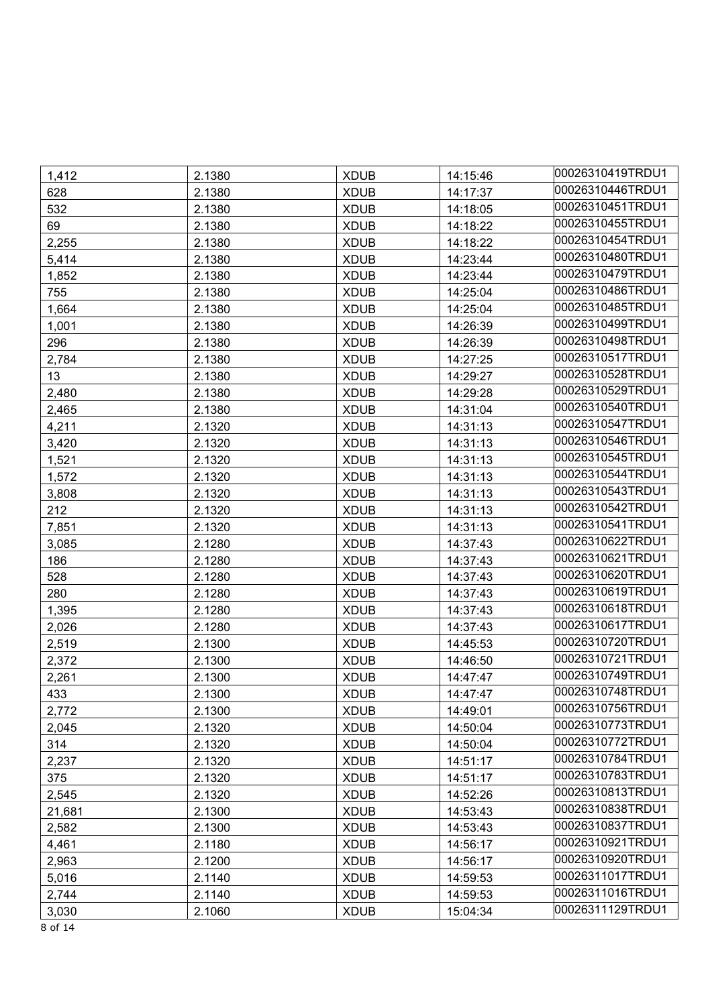| 1,412  | 2.1380 | <b>XDUB</b> | 14:15:46 | 00026310419TRDU1 |
|--------|--------|-------------|----------|------------------|
| 628    | 2.1380 | <b>XDUB</b> | 14:17:37 | 00026310446TRDU1 |
| 532    | 2.1380 | <b>XDUB</b> | 14:18:05 | 00026310451TRDU1 |
| 69     | 2.1380 | <b>XDUB</b> | 14:18:22 | 00026310455TRDU1 |
| 2,255  | 2.1380 | <b>XDUB</b> | 14:18:22 | 00026310454TRDU1 |
| 5,414  | 2.1380 | <b>XDUB</b> | 14:23:44 | 00026310480TRDU1 |
| 1,852  | 2.1380 | <b>XDUB</b> | 14:23:44 | 00026310479TRDU1 |
| 755    | 2.1380 | <b>XDUB</b> | 14:25:04 | 00026310486TRDU1 |
| 1,664  | 2.1380 | <b>XDUB</b> | 14:25:04 | 00026310485TRDU1 |
| 1,001  | 2.1380 | <b>XDUB</b> | 14:26:39 | 00026310499TRDU1 |
| 296    | 2.1380 | <b>XDUB</b> | 14:26:39 | 00026310498TRDU1 |
| 2,784  | 2.1380 | <b>XDUB</b> | 14:27:25 | 00026310517TRDU1 |
| 13     | 2.1380 | <b>XDUB</b> | 14:29:27 | 00026310528TRDU1 |
| 2,480  | 2.1380 | <b>XDUB</b> | 14:29:28 | 00026310529TRDU1 |
| 2,465  | 2.1380 | <b>XDUB</b> | 14:31:04 | 00026310540TRDU1 |
| 4,211  | 2.1320 | <b>XDUB</b> | 14:31:13 | 00026310547TRDU1 |
| 3,420  | 2.1320 | <b>XDUB</b> | 14:31:13 | 00026310546TRDU1 |
| 1,521  | 2.1320 | <b>XDUB</b> | 14:31:13 | 00026310545TRDU1 |
| 1,572  | 2.1320 | <b>XDUB</b> | 14:31:13 | 00026310544TRDU1 |
| 3,808  | 2.1320 | <b>XDUB</b> | 14:31:13 | 00026310543TRDU1 |
| 212    | 2.1320 | <b>XDUB</b> | 14:31:13 | 00026310542TRDU1 |
| 7,851  | 2.1320 | <b>XDUB</b> | 14:31:13 | 00026310541TRDU1 |
| 3,085  | 2.1280 | <b>XDUB</b> | 14:37:43 | 00026310622TRDU1 |
| 186    | 2.1280 | <b>XDUB</b> | 14:37:43 | 00026310621TRDU1 |
| 528    | 2.1280 | <b>XDUB</b> | 14:37:43 | 00026310620TRDU1 |
| 280    | 2.1280 | <b>XDUB</b> | 14:37:43 | 00026310619TRDU1 |
| 1,395  | 2.1280 | <b>XDUB</b> | 14:37:43 | 00026310618TRDU1 |
| 2,026  | 2.1280 | <b>XDUB</b> | 14:37:43 | 00026310617TRDU1 |
| 2,519  | 2.1300 | <b>XDUB</b> | 14:45:53 | 00026310720TRDU1 |
| 2,372  | 2.1300 | <b>XDUB</b> | 14:46:50 | 00026310721TRDU1 |
| 2,261  | 2.1300 | <b>XDUB</b> | 14:47:47 | 00026310749TRDU1 |
| 433    | 2.1300 | <b>XDUB</b> | 14:47:47 | 00026310748TRDU1 |
| 2,772  | 2.1300 | <b>XDUB</b> | 14:49:01 | 00026310756TRDU1 |
| 2,045  | 2.1320 | <b>XDUB</b> | 14:50:04 | 00026310773TRDU1 |
| 314    | 2.1320 | <b>XDUB</b> | 14:50:04 | 00026310772TRDU1 |
| 2,237  | 2.1320 | <b>XDUB</b> | 14:51:17 | 00026310784TRDU1 |
| 375    | 2.1320 | <b>XDUB</b> | 14:51:17 | 00026310783TRDU1 |
| 2,545  | 2.1320 | <b>XDUB</b> | 14:52:26 | 00026310813TRDU1 |
| 21,681 | 2.1300 | <b>XDUB</b> | 14:53:43 | 00026310838TRDU1 |
| 2,582  | 2.1300 | <b>XDUB</b> | 14:53:43 | 00026310837TRDU1 |
| 4,461  | 2.1180 | <b>XDUB</b> | 14:56:17 | 00026310921TRDU1 |
| 2,963  | 2.1200 | <b>XDUB</b> | 14:56:17 | 00026310920TRDU1 |
| 5,016  | 2.1140 | <b>XDUB</b> | 14:59:53 | 00026311017TRDU1 |
| 2,744  | 2.1140 | <b>XDUB</b> | 14:59:53 | 00026311016TRDU1 |
| 3,030  | 2.1060 | <b>XDUB</b> | 15:04:34 | 00026311129TRDU1 |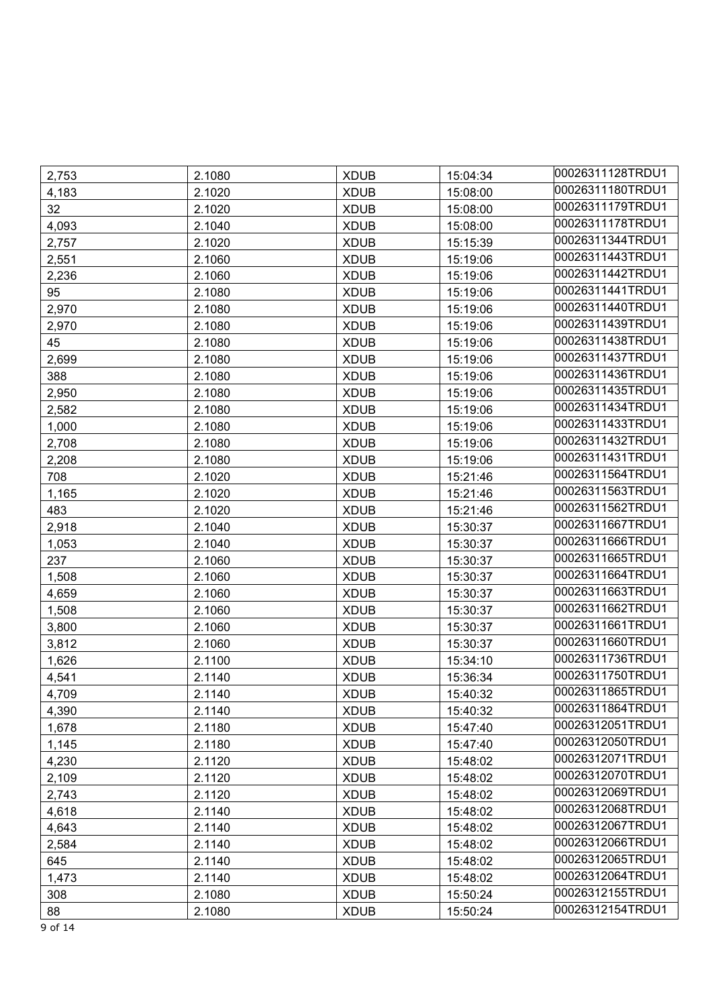| 2,753 | 2.1080 | <b>XDUB</b> | 15:04:34 | 00026311128TRDU1 |
|-------|--------|-------------|----------|------------------|
| 4,183 | 2.1020 | <b>XDUB</b> | 15:08:00 | 00026311180TRDU1 |
| 32    | 2.1020 | <b>XDUB</b> | 15:08:00 | 00026311179TRDU1 |
| 4,093 | 2.1040 | <b>XDUB</b> | 15:08:00 | 00026311178TRDU1 |
| 2,757 | 2.1020 | <b>XDUB</b> | 15:15:39 | 00026311344TRDU1 |
| 2,551 | 2.1060 | <b>XDUB</b> | 15:19:06 | 00026311443TRDU1 |
| 2,236 | 2.1060 | <b>XDUB</b> | 15:19:06 | 00026311442TRDU1 |
| 95    | 2.1080 | <b>XDUB</b> | 15:19:06 | 00026311441TRDU1 |
| 2,970 | 2.1080 | <b>XDUB</b> | 15:19:06 | 00026311440TRDU1 |
| 2,970 | 2.1080 | <b>XDUB</b> | 15:19:06 | 00026311439TRDU1 |
| 45    | 2.1080 | <b>XDUB</b> | 15:19:06 | 00026311438TRDU1 |
| 2,699 | 2.1080 | <b>XDUB</b> | 15:19:06 | 00026311437TRDU1 |
| 388   | 2.1080 | <b>XDUB</b> | 15:19:06 | 00026311436TRDU1 |
| 2,950 | 2.1080 | <b>XDUB</b> | 15:19:06 | 00026311435TRDU1 |
| 2,582 | 2.1080 | <b>XDUB</b> | 15:19:06 | 00026311434TRDU1 |
| 1,000 | 2.1080 | <b>XDUB</b> | 15:19:06 | 00026311433TRDU1 |
| 2,708 | 2.1080 | <b>XDUB</b> | 15:19:06 | 00026311432TRDU1 |
| 2,208 | 2.1080 | <b>XDUB</b> | 15:19:06 | 00026311431TRDU1 |
| 708   | 2.1020 | <b>XDUB</b> | 15:21:46 | 00026311564TRDU1 |
| 1,165 | 2.1020 | <b>XDUB</b> | 15:21:46 | 00026311563TRDU1 |
| 483   | 2.1020 | <b>XDUB</b> | 15:21:46 | 00026311562TRDU1 |
| 2,918 | 2.1040 | <b>XDUB</b> | 15:30:37 | 00026311667TRDU1 |
| 1,053 | 2.1040 | <b>XDUB</b> | 15:30:37 | 00026311666TRDU1 |
| 237   | 2.1060 | <b>XDUB</b> | 15:30:37 | 00026311665TRDU1 |
| 1,508 | 2.1060 | <b>XDUB</b> | 15:30:37 | 00026311664TRDU1 |
| 4,659 | 2.1060 | <b>XDUB</b> | 15:30:37 | 00026311663TRDU1 |
| 1,508 | 2.1060 | <b>XDUB</b> | 15:30:37 | 00026311662TRDU1 |
| 3,800 | 2.1060 | <b>XDUB</b> | 15:30:37 | 00026311661TRDU1 |
| 3,812 | 2.1060 | <b>XDUB</b> | 15:30:37 | 00026311660TRDU1 |
| 1,626 | 2.1100 | <b>XDUB</b> | 15:34:10 | 00026311736TRDU1 |
| 4,541 | 2.1140 | <b>XDUB</b> | 15:36:34 | 00026311750TRDU1 |
| 4,709 | 2.1140 | <b>XDUB</b> | 15:40:32 | 00026311865TRDU1 |
| 4,390 | 2.1140 | <b>XDUB</b> | 15:40:32 | 00026311864TRDU1 |
| 1,678 | 2.1180 | <b>XDUB</b> | 15:47:40 | 00026312051TRDU1 |
| 1,145 | 2.1180 | <b>XDUB</b> | 15:47:40 | 00026312050TRDU1 |
| 4,230 | 2.1120 | <b>XDUB</b> | 15:48:02 | 00026312071TRDU1 |
| 2,109 | 2.1120 | <b>XDUB</b> | 15:48:02 | 00026312070TRDU1 |
| 2,743 | 2.1120 | <b>XDUB</b> | 15:48:02 | 00026312069TRDU1 |
| 4,618 | 2.1140 | <b>XDUB</b> | 15:48:02 | 00026312068TRDU1 |
| 4,643 | 2.1140 | <b>XDUB</b> | 15:48:02 | 00026312067TRDU1 |
| 2,584 | 2.1140 | <b>XDUB</b> | 15:48:02 | 00026312066TRDU1 |
| 645   | 2.1140 | <b>XDUB</b> | 15:48:02 | 00026312065TRDU1 |
| 1,473 | 2.1140 | <b>XDUB</b> | 15:48:02 | 00026312064TRDU1 |
| 308   | 2.1080 | <b>XDUB</b> | 15:50:24 | 00026312155TRDU1 |
| 88    | 2.1080 | <b>XDUB</b> | 15:50:24 | 00026312154TRDU1 |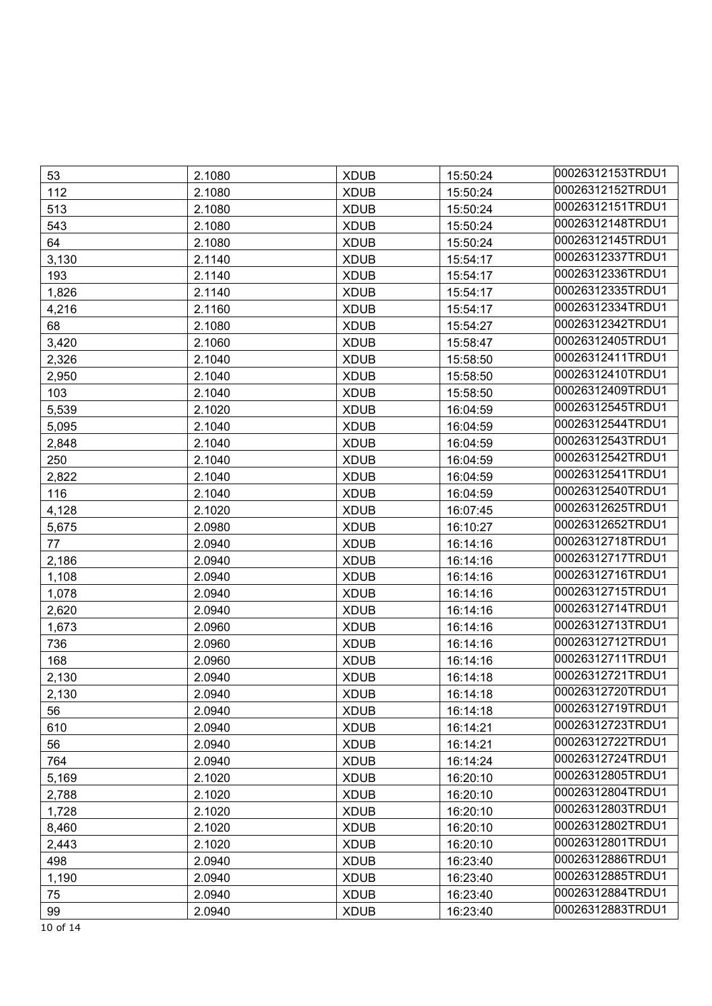| 53    | 2.1080 | <b>XDUB</b> | 15:50:24 | 00026312153TRDU1 |
|-------|--------|-------------|----------|------------------|
| 112   | 2.1080 | <b>XDUB</b> | 15:50:24 | 00026312152TRDU1 |
| 513   | 2.1080 | <b>XDUB</b> | 15:50:24 | 00026312151TRDU1 |
| 543   | 2.1080 | <b>XDUB</b> | 15:50:24 | 00026312148TRDU1 |
| 64    | 2.1080 | <b>XDUB</b> | 15:50:24 | 00026312145TRDU1 |
| 3,130 | 2.1140 | <b>XDUB</b> | 15:54:17 | 00026312337TRDU1 |
| 193   | 2.1140 | <b>XDUB</b> | 15:54:17 | 00026312336TRDU1 |
| 1,826 | 2.1140 | <b>XDUB</b> | 15:54:17 | 00026312335TRDU1 |
| 4,216 | 2.1160 | <b>XDUB</b> | 15:54:17 | 00026312334TRDU1 |
| 68    | 2.1080 | <b>XDUB</b> | 15:54:27 | 00026312342TRDU1 |
| 3,420 | 2.1060 | <b>XDUB</b> | 15:58:47 | 00026312405TRDU1 |
| 2,326 | 2.1040 | <b>XDUB</b> | 15:58:50 | 00026312411TRDU1 |
| 2,950 | 2.1040 | <b>XDUB</b> | 15:58:50 | 00026312410TRDU1 |
| 103   | 2.1040 | <b>XDUB</b> | 15:58:50 | 00026312409TRDU1 |
| 5,539 | 2.1020 | <b>XDUB</b> | 16:04:59 | 00026312545TRDU1 |
| 5,095 | 2.1040 | <b>XDUB</b> | 16:04:59 | 00026312544TRDU1 |
| 2,848 | 2.1040 | <b>XDUB</b> | 16:04:59 | 00026312543TRDU1 |
| 250   | 2.1040 | <b>XDUB</b> | 16:04:59 | 00026312542TRDU1 |
| 2,822 | 2.1040 | <b>XDUB</b> | 16:04:59 | 00026312541TRDU1 |
| 116   | 2.1040 | <b>XDUB</b> | 16:04:59 | 00026312540TRDU1 |
| 4,128 | 2.1020 | <b>XDUB</b> | 16:07:45 | 00026312625TRDU1 |
| 5,675 | 2.0980 | <b>XDUB</b> | 16:10:27 | 00026312652TRDU1 |
| 77    | 2.0940 | <b>XDUB</b> | 16:14:16 | 00026312718TRDU1 |
| 2,186 | 2.0940 | <b>XDUB</b> | 16:14:16 | 00026312717TRDU1 |
| 1,108 | 2.0940 | <b>XDUB</b> | 16:14:16 | 00026312716TRDU1 |
| 1,078 | 2.0940 | <b>XDUB</b> | 16:14:16 | 00026312715TRDU1 |
| 2,620 | 2.0940 | <b>XDUB</b> | 16:14:16 | 00026312714TRDU1 |
| 1,673 | 2.0960 | <b>XDUB</b> | 16:14:16 | 00026312713TRDU1 |
| 736   | 2.0960 | <b>XDUB</b> | 16:14:16 | 00026312712TRDU1 |
| 168   | 2.0960 | <b>XDUB</b> | 16:14:16 | 00026312711TRDU1 |
| 2,130 | 2.0940 | <b>XDUB</b> | 16:14:18 | 00026312721TRDU1 |
| 2,130 | 2.0940 | <b>XDUB</b> | 16:14:18 | 00026312720TRDU1 |
| 56    | 2.0940 | <b>XDUB</b> | 16:14:18 | 00026312719TRDU1 |
| 610   | 2.0940 | <b>XDUB</b> | 16:14:21 | 00026312723TRDU1 |
| 56    | 2.0940 | <b>XDUB</b> | 16:14:21 | 00026312722TRDU1 |
| 764   | 2.0940 | <b>XDUB</b> | 16:14:24 | 00026312724TRDU1 |
| 5,169 | 2.1020 | <b>XDUB</b> | 16:20:10 | 00026312805TRDU1 |
| 2,788 | 2.1020 | <b>XDUB</b> | 16:20:10 | 00026312804TRDU1 |
| 1,728 | 2.1020 | <b>XDUB</b> | 16:20:10 | 00026312803TRDU1 |
| 8,460 | 2.1020 | <b>XDUB</b> | 16:20:10 | 00026312802TRDU1 |
| 2,443 | 2.1020 | <b>XDUB</b> | 16:20:10 | 00026312801TRDU1 |
| 498   | 2.0940 | <b>XDUB</b> | 16:23:40 | 00026312886TRDU1 |
| 1,190 | 2.0940 | <b>XDUB</b> | 16:23:40 | 00026312885TRDU1 |
| 75    | 2.0940 | <b>XDUB</b> | 16:23:40 | 00026312884TRDU1 |
| 99    | 2.0940 | <b>XDUB</b> | 16:23:40 | 00026312883TRDU1 |